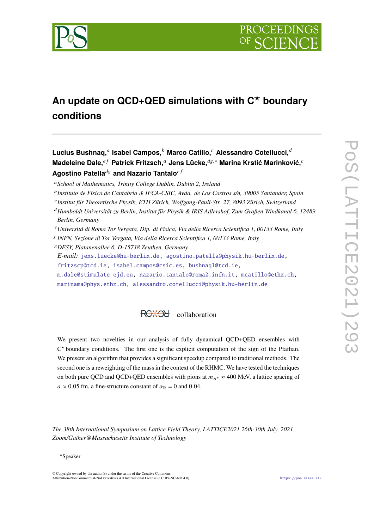

# **An update on QCD+QED simulations with C**★ **boundary conditions**

 $\mathsf{Lucius~Bushnaq,}^a$  Isabel Campos, $^b$  Marco Catillo, $^c$  Alessandro Cotellucci, $^{\widetilde{d}}$ **Madeleine Dale,**<sup>ef</sup> Patrick Fritzsch,<sup>a</sup> Jens Lücke,<sup> $dg,*$ </sup> Marina Krstić Marinković,<sup>c</sup> **Agostino Patella<sup>dg</sup> and Nazario Tantalo<sup>e f</sup>** 

<sup>*a*</sup> School of Mathematics, Trinity College Dublin, Dublin 2, Ireland

<sup>b</sup> Instituto de Física de Cantabria & IFCA-CSIC, Avda. de Los Castros s/n, 39005 Santander, Spain

<sup>c</sup> Institut für Theoretische Physik, ETH Zürich, Wolfgang-Pauli-Str. 27, 8093 Zürich, Switzerland

<sup>𝑑</sup>*Humboldt Universität zu Berlin, Institut für Physik & IRIS Adlershof, Zum Großen Windkanal 6, 12489 Berlin, Germany*

<sup>𝑒</sup>*Università di Roma Tor Vergata, Dip. di Fisica, Via della Ricerca Scientifica 1, 00133 Rome, Italy*

𝑓 *INFN, Sezione di Tor Vergata, Via della Ricerca Scientifica 1, 00133 Rome, Italy*

<sup>𝑔</sup>*DESY, Platanenallee 6, D-15738 Zeuthen, Germany E-mail:* [jens.luecke@hu-berlin.de,](mailto:jens.luecke@hu-berlin.de) [agostino.patella@physik.hu-berlin.de,](mailto:agostino.patella@physik.hu-berlin.de) [fritzscp@tcd.ie,](mailto:fritzscp@tcd.ie) [isabel.campos@csic.es,](mailto:isabel.campos@csic.es) [bushnaql@tcd.ie,](mailto:bushnaql@tcd.ie) [m.dale@stimulate-ejd.eu,](mailto:m.dale@stimulate-ejd.eu) [nazario.tantalo@roma2.infn.it,](mailto:nazario.tantalo@roma2.infn.it) [mcatillo@ethz.ch,](mailto:mcatillo@ethz.ch) [marinama@phys.ethz.ch,](mailto:marinama@phys.ethz.ch) [alessandro.cotellucci@physik.hu-berlin.de](mailto:alessandro.cotellucci@physik.hu-berlin.de)

## RC<sup>\*</sup>+Od collaboration

We present two novelties in our analysis of fully dynamical QCD+QED ensembles with  $C^*$  boundary conditions. The first one is the explicit computation of the sign of the Pfaffian. We present an algorithm that provides a significant speedup compared to traditional methods. The second one is a reweighting of the mass in the context of the RHMC. We have tested the techniques on both pure QCD and QCD+QED ensembles with pions at  $m_{\pi^{\pm}} \approx 400$  MeV, a lattice spacing of  $a \approx 0.05$  fm, a fine-structure constant of  $\alpha_R = 0$  and 0.04.

*The 38th International Symposium on Lattice Field Theory, LATTICE2021 26th-30th July, 2021 Zoom/Gather@Massachusetts Institute of Technology*

© Copyright owned by the author(s) under the terms of the Creative Commons Attribution-NonCommercial-NoDerivatives 4.0 International License (CC BY-NC-ND 4.0). <https://pos.sissa.it/>

<sup>∗</sup>Speaker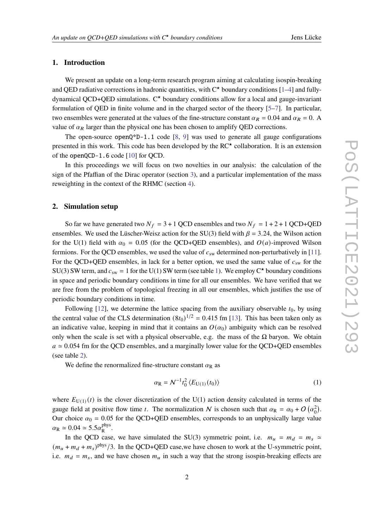### **1. Introduction**

We present an update on a long-term research program aiming at calculating isospin-breaking and QED radiative corrections in hadronic quantities, with  $C^*$  boundary conditions [\[1](#page-8-0)[–4\]](#page-8-1) and fullydynamical QCD+QED simulations. C★ boundary conditions allow for a local and gauge-invariant formulation of QED in finite volume and in the charged sector of the theory [\[5](#page-8-2)[–7\]](#page-8-3). In particular, two ensembles were generated at the values of the fine-structure constant  $\alpha_R = 0.04$  and  $\alpha_R = 0$ . A value of  $\alpha_R$  larger than the physical one has been chosen to amplify QED corrections.

The open-source  $openQ^*D-1.1$  code [\[8,](#page-8-4) [9\]](#page-8-5) was used to generate all gauge configurations presented in this work. This code has been developed by the  $RC^{\star}$  collaboration. It is an extension of the openQCD-1.6 code [\[10\]](#page-8-6) for QCD.

In this proceedings we will focus on two novelties in our analysis: the calculation of the sign of the Pfaffian of the Dirac operator (section [3\)](#page-3-0), and a particular implementation of the mass reweighting in the context of the RHMC (section [4\)](#page-6-0).

#### **2. Simulation setup**

So far we have generated two  $N_f = 3 + 1$  QCD ensembles and two  $N_f = 1 + 2 + 1$  QCD+QED ensembles. We used the Lüscher-Weisz action for the SU(3) field with  $\beta = 3.24$ , the Wilson action for the U(1) field with  $\alpha_0 = 0.05$  (for the QCD+QED ensembles), and  $O(a)$ -improved Wilson fermions. For the QCD ensembles, we used the value of  $c_{sw}$  determined non-perturbatively in [\[11\]](#page-8-7). For the QCD+QED ensembles, in lack for a better option, we used the same value of  $c_{sw}$  for the SU(3) SW term, and  $c_{sw} = 1$  for the U([1\)](#page-3-1) SW term (see table 1). We employ C<sup>\*</sup> boundary conditions in space and periodic boundary conditions in time for all our ensembles. We have verified that we are free from the problem of topological freezing in all our ensembles, which justifies the use of periodic boundary conditions in time.

Following [\[12\]](#page-8-8), we determine the lattice spacing from the auxiliary observable  $t_0$ , by using the central value of the CLS determination  $(8t_0)^{1/2} = 0.415$  fm [\[13\]](#page-8-9). This has been taken only as an indicative value, keeping in mind that it contains an  $O(\alpha_0)$  ambiguity which can be resolved only when the scale is set with a physical observable, e.g. the mass of the  $\Omega$  baryon. We obtain  $a \approx 0.054$  fm for the QCD ensembles, and a marginally lower value for the QCD+QED ensembles (see table [2\)](#page-3-2).

We define the renormalized fine-structure constant  $\alpha_R$  as

$$
\alpha_{\mathbf{R}} = \mathcal{N}^{-1} t_0^2 \left\langle E_{\mathbf{U}(1)}(t_0) \right\rangle \tag{1}
$$

where  $E_{U(1)}(t)$  is the clover discretization of the U(1) action density calculated in terms of the gauge field at positive flow time t. The normalization N is chosen such that  $\alpha_R = \alpha_0 + O(\alpha_0^2)$ . Our choice  $\alpha_0 = 0.05$  for the QCD+QED ensembles, corresponds to an unphysically large value  $\alpha_{\rm R} \simeq 0.04 \simeq 5.5 \alpha_{\rm p}^{\rm phys}$ phys<br>R

In the QCD case, we have simulated the SU(3) symmetric point, i.e.  $m_u = m_d = m_s \simeq$  $(m_u + m_d + m_s)^{\text{phys}}$ /3. In the QCD+QED case, we have chosen to work at the U-symmetric point, i.e.  $m_d = m_s$ , and we have chosen  $m_u$  in such a way that the strong isospin-breaking effects are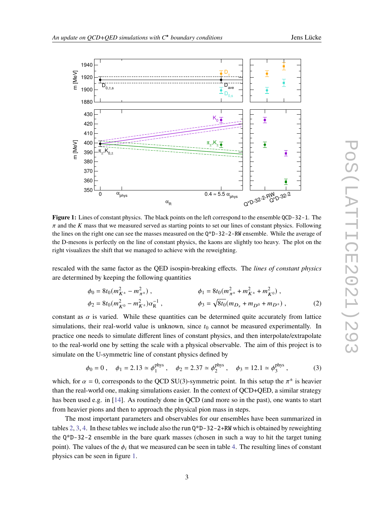<span id="page-2-0"></span>

**Figure 1:** Lines of constant physics. The black points on the left correspond to the ensemble QCD-32-1. The  $\pi$  and the K mass that we measured served as starting points to set our lines of constant physics. Following the lines on the right one can see the masses measured on the Q\*D-32-2-RW ensemble. While the average of the D-mesons is perfectly on the line of constant physics, the kaons are slightly too heavy. The plot on the right visualizes the shift that we managed to achieve with the reweighting.

rescaled with the same factor as the QED isospin-breaking effects. The *lines of constant physics* are determined by keeping the following quantities

$$
\phi_0 = 8t_0(m_{K^{\pm}}^2 - m_{\pi^{\pm}}^2), \qquad \phi_1 = 8t_0(m_{\pi^{\pm}}^2 + m_{K^{\pm}}^2 + m_{K^0}^2), \n\phi_2 = 8t_0(m_{K^0}^2 - m_{K^{\pm}}^2)\alpha_R^{-1}, \qquad \phi_3 = \sqrt{8t_0}(m_{D_s} + m_{D^0} + m_{D^{\pm}}),
$$
\n(2)

constant as  $\alpha$  is varied. While these quantities can be determined quite accurately from lattice simulations, their real-world value is unknown, since  $t_0$  cannot be measured experimentally. In practice one needs to simulate different lines of constant physics, and then interpolate/extrapolate to the real-world one by setting the scale with a physical observable. The aim of this project is to simulate on the U-symmetric line of constant physics defined by

$$
\phi_0 = 0
$$
,  $\phi_1 = 2.13 \approx \phi_1^{\text{phys}}$ ,  $\phi_2 = 2.37 \approx \phi_2^{\text{phys}}$ ,  $\phi_3 = 12.1 \approx \phi_3^{\text{phys}}$ , (3)

which, for  $\alpha = 0$ , corresponds to the QCD SU(3)-symmetric point. In this setup the  $\pi^{\pm}$  is heavier than the real-world one, making simulations easier. In the context of QCD+QED, a similar strategy has been used e.g. in [\[14\]](#page-8-10). As routinely done in QCD (and more so in the past), one wants to start from heavier pions and then to approach the physical pion mass in steps.

The most important parameters and observables for our ensembles have been summarized in tables [2,](#page-3-2) [3,](#page-3-3) [4.](#page-3-4) In these tables we include also the run  $Q^*D-32-2+RW$  which is obtained by reweighting the Q\*D-32-2 ensemble in the bare quark masses (chosen in such a way to hit the target tuning point). The values of the  $\phi_i$  that we measured can be seen in table [4.](#page-3-4) The resulting lines of constant physics can be seen in figure [1.](#page-2-0)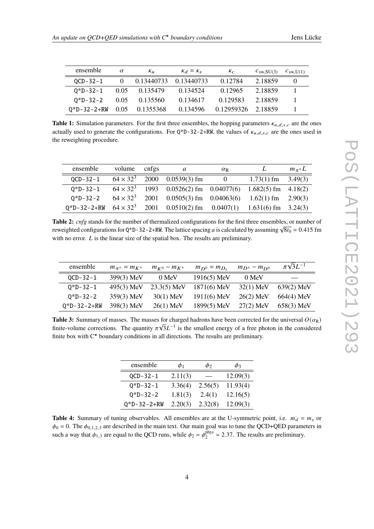<span id="page-3-1"></span>

| ensemble            | $\alpha$ | $K_{11}$   | $K_d = K_s$ | $K_C$      | $C_{\rm SW,SU(3)}$ | $c_{\text{sw,U(1)}}$ |
|---------------------|----------|------------|-------------|------------|--------------------|----------------------|
| $OCD-32-1$          | $\Omega$ | 0.13440733 | 0.13440733  | 0.12784    | 2.18859            |                      |
| $0 * D - 32 - 1$    | 0.05     | 0.135479   | 0.134524    | 0.12965    | 2.18859            |                      |
| $0 * D - 32 - 2$    | 0.05     | 0.135560   | 0.134617    | 0.129583   | 2.18859            |                      |
| $0^*D-32-2+RW$ 0.05 |          | 0.1355368  | 0.134596    | 0.12959326 | 2.18859            |                      |

**Table 1:** Simulation parameters. For the first three ensembles, the hopping parameters  $\kappa_{u,d,s,c}$  are the ones actually used to generate the configurations. For  $Q^*D-32-2+RW$ , the values of  $\kappa_{u,d,s,c}$  are the ones used in the reweighting procedure.

<span id="page-3-2"></span>

| ensemble                                                                            | volume cnfgs | a                                                                 | $\alpha_{\rm R}$ |                        | $m_{\pi^{\pm}}L$ |
|-------------------------------------------------------------------------------------|--------------|-------------------------------------------------------------------|------------------|------------------------|------------------|
| $OCD - 32 - 1$                                                                      |              | $64 \times 32^3$ 2000 0.0539(3) fm                                | $\overline{0}$   | $1.73(1)$ fm $3.49(3)$ |                  |
| $Q*D-32-1$                                                                          |              | $64 \times 32^3$ 1993 0.0526(2) fm 0.04077(6) 1.682(5) fm 4.18(2) |                  |                        |                  |
| $0 * D - 32 - 2$                                                                    |              | $64 \times 32^3$ 2001 0.0505(3) fm 0.04063(6) 1.62(1) fm 2.90(3)  |                  |                        |                  |
| $Q^*D-32-2+RW$ 64 × 32 <sup>3</sup> 2001 0.0510(2) fm 0.0407(1) 1.631(6) fm 3.24(3) |              |                                                                   |                  |                        |                  |

**Table 2:** *cnfg* stands for the number of thermalized configurations for the first three ensembles, or number of **rable 2.** *Chys* stands for the number of thermanzed comigurations for the first time ensembles, or number of reweighted configurations for Q\*D-32-2+RW. The lattice spacing *a* is calculated by assuming  $\sqrt{8t_0} = 0.415$ with no error.  $L$  is the linear size of the spatial box. The results are preliminary.

<span id="page-3-3"></span>

| ensemble              | $m_{\pi^{\pm}} = m_{K^{\pm}}$ | $m_{K^0} - m_{K^{\pm}}$ | $m_{D^0} = m_{D_s}$ | $m_{D^{\pm}} - m_{D^{0}}$ | $\pi\sqrt{3}L^{-1}$ |
|-----------------------|-------------------------------|-------------------------|---------------------|---------------------------|---------------------|
| $QCD-32-1$            | 399(3) MeV                    | 0 MeV                   | $1916(5)$ MeV       | 0 MeV                     |                     |
| $0 * D - 32 - 1$      | 495(3) MeV                    | $23.3(5)$ MeV           | $1871(6)$ MeV       | $32(1)$ MeV               | $639(2)$ MeV        |
| $0 * D - 32 - 2$      | $359(3)$ MeV                  | $30(1)$ MeV             | $1911(6)$ MeV       | $26(2)$ MeV               | $664(4)$ MeV        |
| $0 * D - 32 - 2 + RW$ | 398(3) MeV                    | $26(1)$ MeV             | 1899(5) MeV         | $27(2)$ MeV               | 658(3) MeV          |

<span id="page-3-4"></span>**Table 3:** Summary of masses. The masses for charged hadrons have been corrected for the universal  $O(\alpha_R)$ finite-volume corrections. The quantity  $\pi \sqrt{3}L^{-1}$  is the smallest energy of a free photon in the considered finite box with  $C^*$  boundary conditions in all directions. The results are preliminary.

| 12.09(3) |
|----------|
| 11.93(4) |
| 12.16(5) |
| 12.09(3) |
|          |

<span id="page-3-0"></span>**Table 4:** Summary of tuning observables. All ensembles are at the U-symmetric point, i.e.  $m_d = m_s$  or  $\phi_0 = 0$ . The  $\phi_{0,1,2,3}$  are described in the main text. Our main goal was to tune the QCD+QED parameters in such a way that  $\phi_{1,3}$  are equal to the QCD runs, while  $\phi_2 = \phi_2^{\text{phys}}$  $_2^{\text{phys}} \approx 2.37$ . The results are preliminary.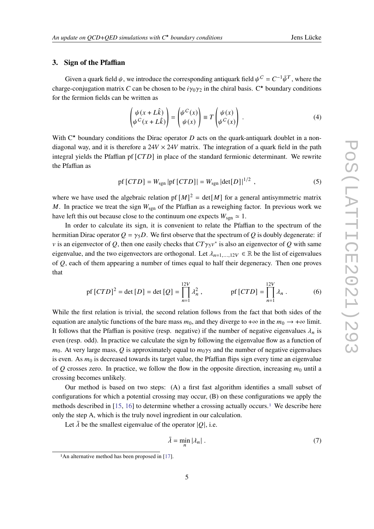#### **3. Sign of the Pfaffian**

Given a quark field  $\psi$ , we introduce the corresponding antiquark field  $\psi^C = C^{-1} \bar{\psi}^T$ , where the charge-conjugation matrix C can be chosen to be  $i\gamma_0\gamma_2$  in the chiral basis. C<sup>\*</sup> boundary conditions for the fermion fields can be written as

$$
\begin{pmatrix} \psi(x+L\hat{k}) \\ \psi^C(x+L\hat{k}) \end{pmatrix} = \begin{pmatrix} \psi^C(x) \\ \psi(x) \end{pmatrix} \equiv T \begin{pmatrix} \psi(x) \\ \psi^C(x) \end{pmatrix} . \tag{4}
$$

With  $C^*$  boundary conditions the Dirac operator D acts on the quark-antiquark doublet in a nondiagonal way, and it is therefore a  $24V \times 24V$  matrix. The integration of a quark field in the path integral yields the Pfaffian pf  $[CTD]$  in place of the standard fermionic determinant. We rewrite the Pfaffian as

$$
\text{pf}\left[CTD\right] = W_{\text{sgn}}\left|\text{pf}\left[CTD\right]\right| = W_{\text{sgn}}\left|\text{det}[D]\right|^{1/2},\tag{5}
$$

where we have used the algebraic relation pf  $[M]^2 = det[M]$  for a general antisymmetric matrix M. In practice we treat the sign  $W_{sgn}$  of the Pfaffian as a reweighing factor. In previous work we have left this out because close to the continuum one expects  $W_{sgn} \simeq 1$ .

In order to calculate its sign, it is convenient to relate the Pfaffian to the spectrum of the hermitian Dirac operator  $Q = \gamma_5 D$ . We first observe that the spectrum of Q is doubly degenerate: if v is an eigenvector of Q, then one easily checks that  $CT\gamma_5 v^*$  is also an eigenvector of Q with same eigenvalue, and the two eigenvectors are orthogonal. Let  $\lambda_{n=1,\dots,12V} \in \mathbb{R}$  be the list of eigenvalues of  $Q$ , each of them appearing a number of times equal to half their degeneracy. Then one proves that

$$
\text{pf}\left[CTD\right]^2 = \det\left[D\right] = \det\left[Q\right] = \prod_{n=1}^{12V} \lambda_n^2, \qquad \text{pf}\left[CTD\right] = \prod_{n=1}^{12V} \lambda_n \,. \tag{6}
$$

While the first relation is trivial, the second relation follows from the fact that both sides of the equation are analytic functions of the bare mass  $m_0$ , and they diverge to + $\infty$  in the  $m_0 \to +\infty$  limit. It follows that the Pfaffian is positive (resp. negative) if the number of negative eigenvalues  $\lambda_n$  is even (resp. odd). In practice we calculate the sign by following the eigenvalue flow as a function of  $m_0$ . At very large mass, Q is approximately equal to  $m_0 \gamma_5$  and the number of negative eigenvalues is even. As  $m_0$  is decreased towards its target value, the Pfaffian flips sign every time an eigenvalue of O crosses zero. In practice, we follow the flow in the opposite direction, increasing  $m_0$  until a crossing becomes unlikely.

Our method is based on two steps: (A) a first fast algorithm identifies a small subset of configurations for which a potential crossing may occur, (B) on these configurations we apply the methods described in  $[15, 16]$  $[15, 16]$  $[15, 16]$  to determine whether a crossing actually occurs.<sup>[1](#page-4-0)</sup> We describe here only the step A, which is the truly novel ingredient in our calculation.

Let  $\bar{\lambda}$  be the smallest eigenvalue of the operator  $|O|$ , i.e.

$$
\bar{\lambda} = \min_{n} |\lambda_n| \tag{7}
$$

<span id="page-4-0"></span><sup>&</sup>lt;sup>1</sup>An alternative method has been proposed in [\[17\]](#page-8-13).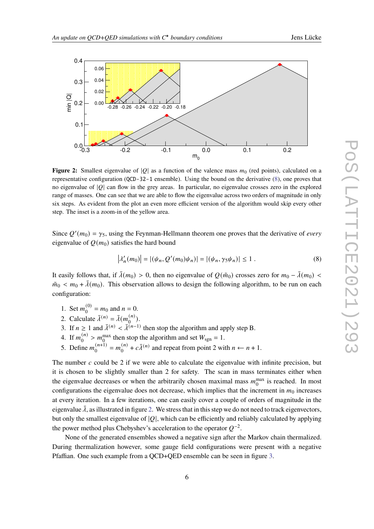<span id="page-5-1"></span>

**Figure 2:** Smallest eigenvalue of  $|Q|$  as a function of the valence mass  $m_0$  (red points), calculated on a representative configuration (QCD-32-1 ensemble). Using the bound on the derivative [\(8\)](#page-5-0), one proves that no eigenvalue of  $|Q|$  can flow in the grey areas. In particular, no eigenvalue crosses zero in the explored range of masses. One can see that we are able to flow the eigenvalue across two orders of magnitude in only six steps. As evident from the plot an even more efficient version of the algorithm would skip every other step. The inset is a zoom-in of the yellow area.

Since  $Q'(m_0) = \gamma_5$ , using the Feynman-Hellmann theorem one proves that the derivative of *every* eigenvalue of  $Q(m_0)$  satisfies the hard bound

<span id="page-5-0"></span>
$$
|\lambda'_{n}(m_{0})| = |(\psi_{n}, Q'(m_{0})\psi_{n})| = |(\psi_{n}, \gamma_{5}\psi_{n})| \le 1.
$$
 (8)

It easily follows that, if  $\bar{\lambda}(m_0) > 0$ , then no eigenvalue of  $Q(\tilde{m}_0)$  crosses zero for  $m_0 - \bar{\lambda}(m_0)$  <  $\tilde{m}_0 < m_0 + \bar{\lambda}(m_0)$ . This observation allows to design the following algorithm, to be run on each configuration:

- 1. Set  $m_0^{(0)} = m_0$  and  $n = 0$ .
- 2. Calculate  $\bar{\lambda}^{(n)} = \bar{\lambda}(m_0^{(n)})$ .
- 3. If  $n \geq 1$  and  $\overline{\lambda}^{(n)} < \overline{\lambda}^{(n-1)}$  then stop the algorithm and apply step B.
- 4. If  $m_0^{(n)} > m_0^{\text{max}}$  then stop the algorithm and set  $W_{\text{sgn}} = 1$ .
- 5. Define  $m_0^{(n+1)} = m_0^{(n)} + c\overline{\lambda}^{(n)}$  and repeat from point 2 with  $n \leftarrow n + 1$ .

The number  $c$  could be 2 if we were able to calculate the eigenvalue with infinite precision, but it is chosen to be slightly smaller than 2 for safety. The scan in mass terminates either when the eigenvalue decreases or when the arbitrarily chosen maximal mass  $m_0^{\text{max}}$  is reached. In most configurations the eigenvalue does not decrease, which implies that the increment in  $m_0$  increases at every iteration. In a few iterations, one can easily cover a couple of orders of magnitude in the eigenvalue  $\bar{\lambda}$ , as illustrated in figure [2.](#page-5-1) We stress that in this step we do not need to track eigenvectors, but only the smallest eigenvalue of  $|O|$ , which can be efficiently and reliably calculated by applying the power method plus Chebyshev's acceleration to the operator  $O^{-2}$ .

None of the generated ensembles showed a negative sign after the Markov chain thermalized. During thermalization however, some gauge field configurations were present with a negative Pfaffian. One such example from a QCD+QED ensemble can be seen in figure [3.](#page-6-1)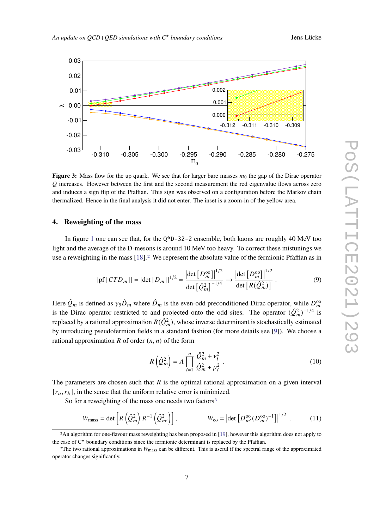<span id="page-6-1"></span>

**Figure 3:** Mass flow for the up quark. We see that for larger bare masses  $m_0$  the gap of the Dirac operator  $O$  increases. However between the first and the second measurement the red eigenvalue flows across zero and induces a sign flip of the Pfaffian. This sign was observed on a configuration before the Markov chain thermalized. Hence in the final analysis it did not enter. The inset is a zoom-in of the yellow area.

#### <span id="page-6-0"></span>**4. Reweighting of the mass**

In figure [1](#page-2-0) one can see that, for the Q\*D-32-2 ensemble, both kaons are roughly 40 MeV too light and the average of the D-mesons is around 10 MeV too heavy. To correct these mistunings we use a reweighting in the mass [\[18\]](#page-8-14).<sup>[2](#page-6-2)</sup> We represent the absolute value of the fermionic Pfaffian as in

$$
|\text{pf}[CTD_m]| = |\text{det}[D_m]|^{1/2} = \frac{|\text{det}[D_m^{\text{oo}}]|^{1/2}}{\text{det}[\hat{Q}_m^2]^{-1/4}} \to \frac{|\text{det}[D_m^{\text{oo}}]|^{1/2}}{\text{det}[R(\hat{Q}_m^2)]}. \tag{9}
$$

Here  $\hat{Q}_m$  is defined as  $\gamma_5 \hat{D}_m$  where  $\hat{D}_m$  is the even-odd preconditioned Dirac operator, while  $D_m^{\infty}$ is the Dirac operator restricted to and projected onto the odd sites. The operator  $(Q_m^2)^{-1/4}$  is replaced by a rational approximation  $R(\hat{Q}_m^2)$ , whose inverse determinant is stochastically estimated by introducing pseudofermion fields in a standard fashion (for more details see [\[9\]](#page-8-5)). We choose a rational approximation  $R$  of order  $(n, n)$  of the form

$$
R\left(\hat{Q}_m^2\right) = A \prod_{i=1}^n \frac{\hat{Q}_m^2 + v_i^2}{\hat{Q}_m^2 + \mu_i^2} \,. \tag{10}
$$

The parameters are chosen such that  $R$  is the optimal rational approximation on a given interval  $[r_a, r_b]$ , in the sense that the uniform relative error is minimized.

So for a reweighting of the mass one needs two factors<sup>[3](#page-6-3)</sup>

$$
W_{\text{mass}} = \det \left[ R \left( \hat{Q}_m^2 \right) R^{-1} \left( \hat{Q}_{m'}^2 \right) \right], \qquad \qquad W_{\text{eo}} = \left| \det \left[ D_{m'}^{\text{oo}} (D_m^{\text{oo}})^{-1} \right] \right|^{1/2} . \tag{11}
$$

<span id="page-6-2"></span><sup>2</sup>An algorithm for one-flavour mass reweighting has been proposed in [\[19\]](#page-8-15), however this algorithm does not apply to the case of  $C^*$  boundary conditions since the fermionic determinant is replaced by the Pfaffian.

<span id="page-6-3"></span><sup>&</sup>lt;sup>3</sup>The two rational approximations in  $W_{\text{mass}}$  can be different. This is useful if the spectral range of the approximated operator changes significantly.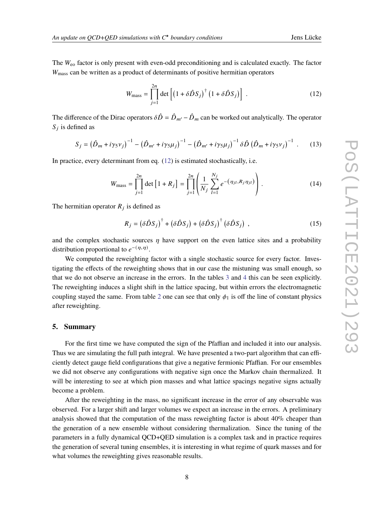The  $W_{\text{eo}}$  factor is only present with even-odd preconditioning and is calculated exactly. The factor  $W<sub>mass</sub>$  can be written as a product of determinants of positive hermitian operators

<span id="page-7-0"></span>
$$
W_{\text{mass}} = \prod_{j=1}^{2n} \det \left[ \left( 1 + \delta \hat{D} S_j \right)^{\dagger} \left( 1 + \delta \hat{D} S_j \right) \right] \,. \tag{12}
$$

The difference of the Dirac operators  $\delta \hat{D} = \hat{D}_{m'} - \hat{D}_{m}$  can be worked out analytically. The operator  $S_i$  is defined as

$$
S_j = \left(\hat{D}_m + i\gamma_5 v_j\right)^{-1} - \left(\hat{D}_{m'} + i\gamma_5 \mu_j\right)^{-1} - \left(\hat{D}_{m'} + i\gamma_5 \mu_j\right)^{-1} \delta \hat{D} \left(\hat{D}_m + i\gamma_5 v_j\right)^{-1} \tag{13}
$$

In practice, every determinant from eq. [\(12\)](#page-7-0) is estimated stochastically, i.e.

$$
W_{\text{mass}} = \prod_{j=1}^{2n} \det \left[ 1 + R_j \right] = \prod_{j=1}^{2n} \left( \frac{1}{N_j} \sum_{l=1}^{N_j} e^{-\left( \eta_{jl}, R_j \eta_{jl} \right)} \right). \tag{14}
$$

The hermitian operator  $R_i$  is defined as

$$
R_j = \left(\delta \hat{D} S_j\right)^{\dagger} + \left(\delta \hat{D} S_j\right) + \left(\delta \hat{D} S_j\right)^{\dagger} \left(\delta \hat{D} S_j\right) ,\qquad (15)
$$

and the complex stochastic sources  $\eta$  have support on the even lattice sites and a probability distribution proportional to  $e^{-(\eta,\eta)}$ .

We computed the reweighting factor with a single stochastic source for every factor. Investigating the effects of the reweighting shows that in our case the mistuning was small enough, so that we do not observe an increase in the errors. In the tables [3](#page-3-3) and [4](#page-3-4) this can be seen explicitly. The reweighting induces a slight shift in the lattice spacing, but within errors the electromagnetic coupling stayed the same. From table [2](#page-3-2) one can see that only  $\phi_1$  is off the line of constant physics after reweighting.

#### **5. Summary**

For the first time we have computed the sign of the Pfaffian and included it into our analysis. Thus we are simulating the full path integral. We have presented a two-part algorithm that can efficiently detect gauge field configurations that give a negative fermionic Pfaffian. For our ensembles we did not observe any configurations with negative sign once the Markov chain thermalized. It will be interesting to see at which pion masses and what lattice spacings negative signs actually become a problem.

After the reweighting in the mass, no significant increase in the error of any observable was observed. For a larger shift and larger volumes we expect an increase in the errors. A preliminary analysis showed that the computation of the mass reweighting factor is about 40% cheaper than the generation of a new ensemble without considering thermalization. Since the tuning of the parameters in a fully dynamical QCD+QED simulation is a complex task and in practice requires the generation of several tuning ensembles, it is interesting in what regime of quark masses and for what volumes the reweighting gives reasonable results.